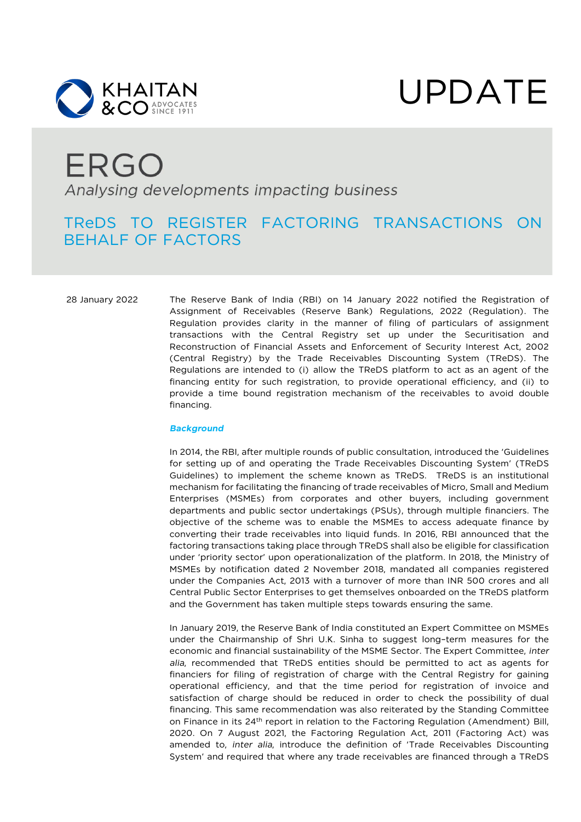



# ERGO Analysing developments impacting business

### TReDS TO REGISTER FACTORING TRANSACTIONS ON BEHALF OF FACTORS

28 January 2022 The Reserve Bank of India (RBI) on 14 January 2022 notified the Registration of Assignment of Receivables (Reserve Bank) Regulations, 2022 (Regulation). The Regulation provides clarity in the manner of filing of particulars of assignment transactions with the Central Registry set up under the Securitisation and Reconstruction of Financial Assets and Enforcement of Security Interest Act, 2002 (Central Registry) by the Trade Receivables Discounting System (TReDS). The Regulations are intended to (i) allow the TReDS platform to act as an agent of the financing entity for such registration, to provide operational efficiency, and (ii) to provide a time bound registration mechanism of the receivables to avoid double financing.

#### *Background*

In 2014, the RBI, after multiple rounds of public consultation, introduced the 'Guidelines for setting up of and operating the Trade Receivables Discounting System' (TReDS Guidelines) to implement the scheme known as TReDS. TReDS is an institutional mechanism for facilitating the financing of trade receivables of Micro, Small and Medium Enterprises (MSMEs) from corporates and other buyers, including government departments and public sector undertakings (PSUs), through multiple financiers. The objective of the scheme was to enable the MSMEs to access adequate finance by converting their trade receivables into liquid funds. In 2016, RBI announced that the factoring transactions taking place through TReDS shall also be eligible for classification under 'priority sector' upon operationalization of the platform. In 2018, the Ministry of MSMEs by notification dated 2 November 2018, mandated all companies registered under the Companies Act, 2013 with a turnover of more than INR 500 crores and all Central Public Sector Enterprises to get themselves onboarded on the TReDS platform and the Government has taken multiple steps towards ensuring the same.

In January 2019, the Reserve Bank of India constituted an Expert Committee on MSMEs under the Chairmanship of Shri U.K. Sinha to suggest long–term measures for the economic and financial sustainability of the MSME Sector. The Expert Committee, *inter alia*, recommended that TReDS entities should be permitted to act as agents for financiers for filing of registration of charge with the Central Registry for gaining operational efficiency, and that the time period for registration of invoice and satisfaction of charge should be reduced in order to check the possibility of dual financing. This same recommendation was also reiterated by the Standing Committee on Finance in its 24<sup>th</sup> report in relation to the Factoring Regulation (Amendment) Bill, 2020. On 7 August 2021, the Factoring Regulation Act, 2011 (Factoring Act) was amended to, *inter alia*, introduce the definition of 'Trade Receivables Discounting System' and required that where any trade receivables are financed through a TReDS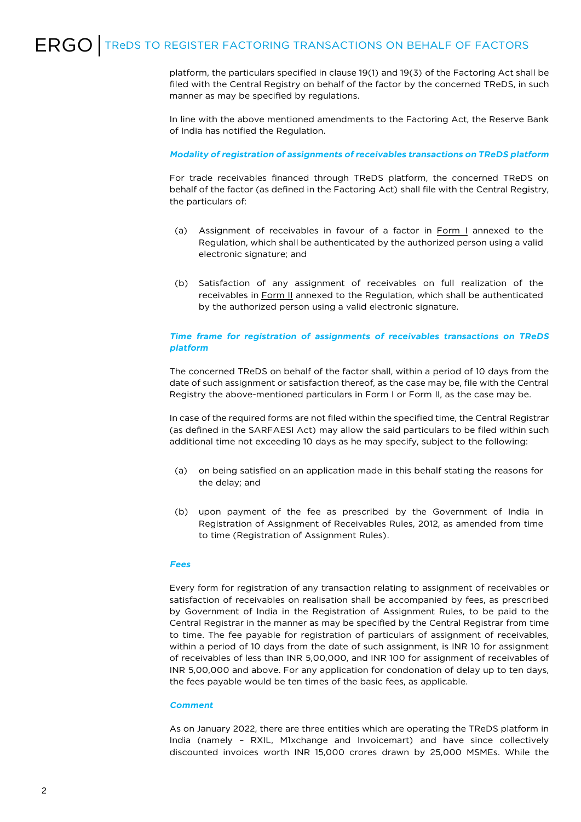## ERGO TREDS TO REGISTER FACTORING TRANSACTIONS ON BEHALF OF FACTORS

platform, the particulars specified in clause 19(1) and 19(3) of the Factoring Act shall be filed with the Central Registry on behalf of the factor by the concerned TReDS, in such manner as may be specified by regulations.

In line with the above mentioned amendments to the Factoring Act, the Reserve Bank of India has notified the Regulation.

#### *Modality of registration of assignments of receivables transactions on TReDS platform*

For trade receivables financed through TReDS platform, the concerned TReDS on behalf of the factor (as defined in the Factoring Act) shall file with the Central Registry, the particulars of:

- (a) Assignment of receivables in favour of a factor in Form I annexed to the Regulation, which shall be authenticated by the authorized person using a valid electronic signature; and
- (b) Satisfaction of any assignment of receivables on full realization of the receivables in Form II annexed to the Regulation, which shall be authenticated by the authorized person using a valid electronic signature.

#### *Time frame for registration of assignments of receivables transactions on TReDS platform*

The concerned TReDS on behalf of the factor shall, within a period of 10 days from the date of such assignment or satisfaction thereof, as the case may be, file with the Central Registry the above-mentioned particulars in Form I or Form II, as the case may be.

In case of the required forms are not filed within the specified time, the Central Registrar (as defined in the SARFAESI Act) may allow the said particulars to be filed within such additional time not exceeding 10 days as he may specify, subject to the following:

- (a) on being satisfied on an application made in this behalf stating the reasons for the delay; and
- (b) upon payment of the fee as prescribed by the Government of India in Registration of Assignment of Receivables Rules, 2012, as amended from time to time (Registration of Assignment Rules).

#### *Fees*

Every form for registration of any transaction relating to assignment of receivables or satisfaction of receivables on realisation shall be accompanied by fees, as prescribed by Government of India in the Registration of Assignment Rules, to be paid to the Central Registrar in the manner as may be specified by the Central Registrar from time to time. The fee payable for registration of particulars of assignment of receivables, within a period of 10 days from the date of such assignment, is INR 10 for assignment of receivables of less than INR 5,00,000, and INR 100 for assignment of receivables of INR 5,00,000 and above. For any application for condonation of delay up to ten days, the fees payable would be ten times of the basic fees, as applicable.

#### *Comment*

As on January 2022, there are three entities which are operating the TReDS platform in India (namely – RXIL, M1xchange and Invoicemart) and have since collectively discounted invoices worth INR 15,000 crores drawn by 25,000 MSMEs. While the